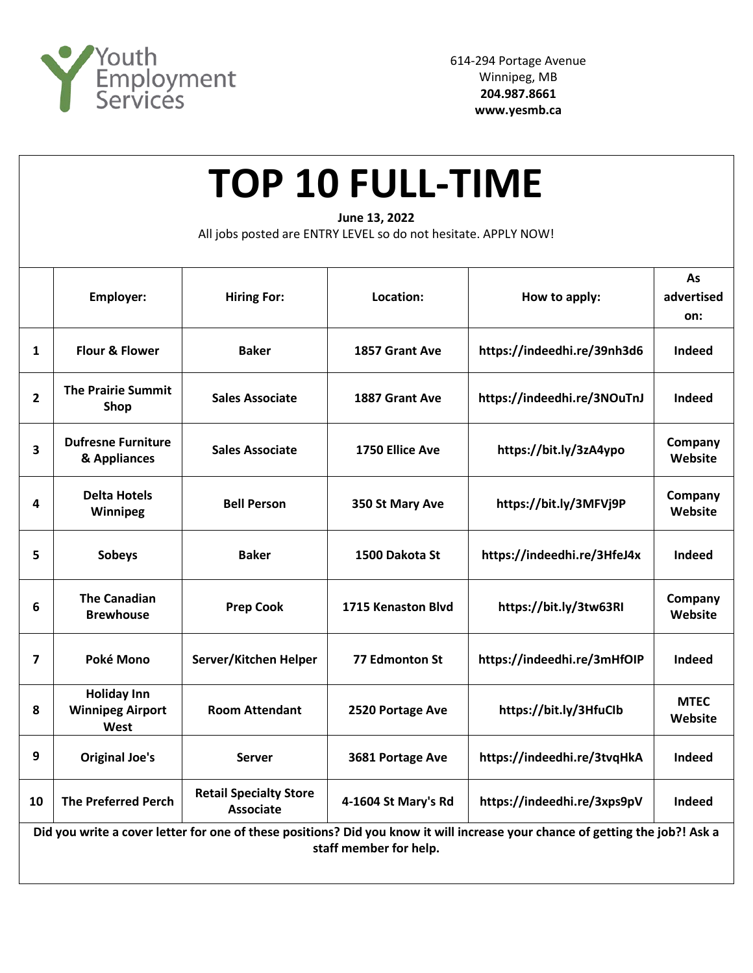

| <b>TOP 10 FULL-TIME</b><br>June 13, 2022<br>All jobs posted are ENTRY LEVEL so do not hesitate. APPLY NOW!                                              |                                                       |                                                   |                     |                             |                         |  |  |  |  |
|---------------------------------------------------------------------------------------------------------------------------------------------------------|-------------------------------------------------------|---------------------------------------------------|---------------------|-----------------------------|-------------------------|--|--|--|--|
|                                                                                                                                                         | <b>Employer:</b>                                      | <b>Hiring For:</b>                                | Location:           | How to apply:               | As<br>advertised<br>on: |  |  |  |  |
| $\mathbf{1}$                                                                                                                                            | Flour & Flower                                        | <b>Baker</b>                                      | 1857 Grant Ave      | https://indeedhi.re/39nh3d6 | <b>Indeed</b>           |  |  |  |  |
| $\overline{2}$                                                                                                                                          | <b>The Prairie Summit</b><br>Shop                     | <b>Sales Associate</b>                            | 1887 Grant Ave      | https://indeedhi.re/3NOuTnJ | Indeed                  |  |  |  |  |
| 3                                                                                                                                                       | <b>Dufresne Furniture</b><br>& Appliances             | <b>Sales Associate</b>                            | 1750 Ellice Ave     | https://bit.ly/3zA4ypo      | Company<br>Website      |  |  |  |  |
| 4                                                                                                                                                       | <b>Delta Hotels</b><br>Winnipeg                       | <b>Bell Person</b>                                | 350 St Mary Ave     | https://bit.ly/3MFVj9P      | Company<br>Website      |  |  |  |  |
| 5                                                                                                                                                       | <b>Sobeys</b>                                         | <b>Baker</b>                                      | 1500 Dakota St      | https://indeedhi.re/3HfeJ4x | Indeed                  |  |  |  |  |
| 6                                                                                                                                                       | <b>The Canadian</b><br><b>Brewhouse</b>               | <b>Prep Cook</b>                                  | 1715 Kenaston Blvd  | https://bit.ly/3tw63RI      | Company<br>Website      |  |  |  |  |
| 7                                                                                                                                                       | Poké Mono                                             | Server/Kitchen Helper                             | 77 Edmonton St      | https://indeedhi.re/3mHfOIP | Indeed                  |  |  |  |  |
| 8                                                                                                                                                       | <b>Holiday Inn</b><br><b>Winnipeg Airport</b><br>West | <b>Room Attendant</b>                             | 2520 Portage Ave    | https://bit.ly/3HfuClb      | <b>MTEC</b><br>Website  |  |  |  |  |
| 9                                                                                                                                                       | <b>Original Joe's</b>                                 | <b>Server</b>                                     | 3681 Portage Ave    | https://indeedhi.re/3tvqHkA | Indeed                  |  |  |  |  |
| 10                                                                                                                                                      | <b>The Preferred Perch</b>                            | <b>Retail Specialty Store</b><br><b>Associate</b> | 4-1604 St Mary's Rd | https://indeedhi.re/3xps9pV | Indeed                  |  |  |  |  |
| Did you write a cover letter for one of these positions? Did you know it will increase your chance of getting the job?! Ask a<br>staff member for help. |                                                       |                                                   |                     |                             |                         |  |  |  |  |